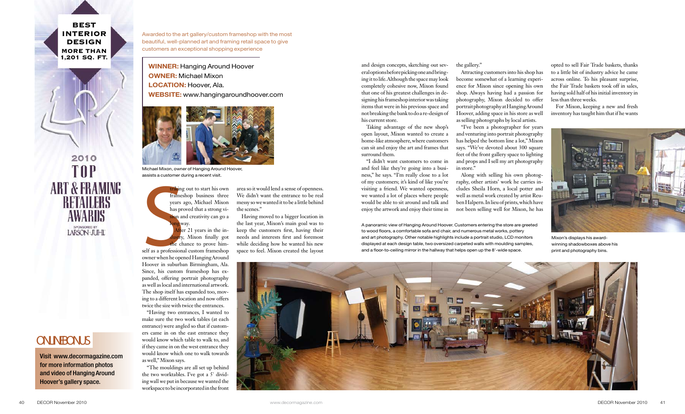and design concepts, sketching out several options before picking one and bringing it to life. Although the space may look completely cohesive now, Mixon found that one of his greatest challenges in designing his frameshop interior was taking items that were in his previous space and not breaking the bank to do a re-design of his current store.

Taking advantage of the new shop's open layout, Mixon wanted to create a home-like atmosphere, where customers can sit and enjoy the art and frames that surround them.

"I didn't want customers to come in and feel like they're going into a business," he says. "I'm really close to a lot of my customers; it's kind of like you're visiting a friend. We wanted openness, we wanted a lot of places where people would be able to sit around and talk and enjoy the artwork and enjoy their time in

the gallery."

triking out to start his own frameshop business three years ago, Michael Mixon has proved that a strong vision and creativity can go a way.

Attracting customers into his shop has become somewhat of a learning experience for Mixon since opening his own shop. Always having had a passion for photography, Mixon decided to offer portrait photography at Hanging Around Hoover, adding space in his store as well as selling photographs by local artists.

triking<br>
frames<br>
years a<br>
has pro<br>
sion an<br>
long was<br>
After<br>
dustry,<br>
the chinal<br>
self as a professiona<br>
owner when he oper  $f_{\text{ter}}$  21 years in the indry, Mixon finally got the chance to prove himself as a professional custom frameshop owner when he opened Hanging Around Hoover in suburban Birmingham, Ala. Since, his custom frameshop has expanded, offering portrait photography as well as local and international artwork. The shop itself has expanded too, moving to a different location and now offers twice the size with twice the entrances.

"I've been a photographer for years and venturing into portrait photography has helped the bottom line a lot," Mixon says. "We've devoted about 300 square feet of the front gallery space to lighting and props and I sell my art photography in store."

Along with selling his own photography, other artists' work he carries includes Sheila Horn, a local potter and well as metal work created by artist Reuben Halpern. In lieu of prints, which have not been selling well for Mixon, he has

opted to sell Fair Trade baskets, thanks to a little bit of industry advice he came across online. To his pleasant surprise, the Fair Trade baskets took off in sales, having sold half of his initial inventory in less than three weeks.

**BEST** Interior **DESIGN** More Than 1,201 Sq. Ft.

2010 **TOP ART & FRAMING** RETAILERS AWARDS SPONSORED BY<br>LARSON 'JUHL'

## **ONLINE CITY**

For Mixon, keeping a new and fresh inventory has taught him that if he wants

"Having two entrances, I wanted to make sure the two work tables (at each entrance) were angled so that if customers came in on the east entrance they would know which table to walk to, and if they came in on the west entrance they would know which one to walk towards as well," Mixon says.

"The mouldings are all set up behind the two worktables. I've got a 5' dividing wall we put in because we wanted the workspace to be incorporated in the front area so it would lend a sense of openness. We didn't want the entrance to be real messy so we wanted it to be a little behind the scenes."

Having moved to a bigger location in the last year, Mixon's main goal was to keep the customers first, having their needs and interests first and foremost while deciding how he wanted his new space to feel. Mixon created the layout

Awarded to the art gallery/custom frameshop with the most beautiful, well-planned art and framing retail space to give customers an exceptional shopping experience

WINNER: Hanging Around Hoover **OWNER: Michael Mixon** LOCATION: Hoover, Ala. WEBSITE: www.hangingaroundhoover.com

> A panoramic view of Hanging Around Hoover. Customers entering the store are greeted to wood floors, a comfortable sofa and chair, and numerous metal works, pottery and art photography. Other notable highlights include a portrait studio, LCD monitors displayed at each design table, two oversized carpeted walls with moulding samples, and a floor-to-ceiling mirror in the hallway that helps open up the 8'-wide space.





Mixon's displays his awardwinning shadowboxes above his print and photography bins.



Michael Mixon, owner of Hanging Around Hoover, assists a customer during a recent visit.

Visit www.decormagazine.com for more information photos and video of Hanging Around Hoover's gallery space.